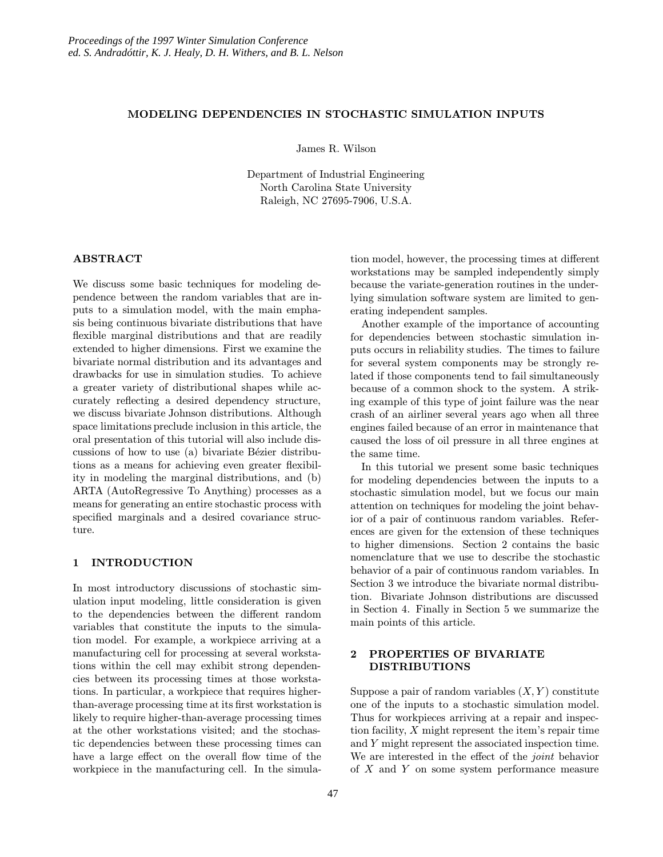# MODELING DEPENDENCIES IN STOCHASTIC SIMULATION INPUTS

James R. Wilson

Department of Industrial Engineering North Carolina State University Raleigh, NC 27695-7906, U.S.A.

### ABSTRACT

We discuss some basic techniques for modeling dependence between the random variables that are inputs to a simulation model, with the main emphasis being continuous bivariate distributions that have flexible marginal distributions and that are readily extended to higher dimensions. First we examine the bivariate normal distribution and its advantages and drawbacks for use in simulation studies. To achieve a greater variety of distributional shapes while accurately reflecting a desired dependency structure, we discuss bivariate Johnson distributions. Although space limitations preclude inclusion in this article, the oral presentation of this tutorial will also include discussions of how to use (a) bivariate Bézier distributions as a means for achieving even greater flexibility in modeling the marginal distributions, and (b) ARTA (AutoRegressive To Anything) processes as a means for generating an entire stochastic process with specified marginals and a desired covariance structure.

### 1 INTRODUCTION

In most introductory discussions of stochastic simulation input modeling, little consideration is given to the dependencies between the different random variables that constitute the inputs to the simulation model. For example, a workpiece arriving at a manufacturing cell for processing at several workstations within the cell may exhibit strong dependencies between its processing times at those workstations. In particular, a workpiece that requires higherthan-average processing time at its first workstation is likely to require higher-than-average processing times at the other workstations visited; and the stochastic dependencies between these processing times can have a large effect on the overall flow time of the workpiece in the manufacturing cell. In the simulation model, however, the processing times at different workstations may be sampled independently simply because the variate-generation routines in the underlying simulation software system are limited to generating independent samples.

Another example of the importance of accounting for dependencies between stochastic simulation inputs occurs in reliability studies. The times to failure for several system components may be strongly related if those components tend to fail simultaneously because of a common shock to the system. A striking example of this type of joint failure was the near crash of an airliner several years ago when all three engines failed because of an error in maintenance that caused the loss of oil pressure in all three engines at the same time.

In this tutorial we present some basic techniques for modeling dependencies between the inputs to a stochastic simulation model, but we focus our main attention on techniques for modeling the joint behavior of a pair of continuous random variables. References are given for the extension of these techniques to higher dimensions. Section 2 contains the basic nomenclature that we use to describe the stochastic behavior of a pair of continuous random variables. In Section 3 we introduce the bivariate normal distribution. Bivariate Johnson distributions are discussed in Section 4. Finally in Section 5 we summarize the main points of this article.

# 2 PROPERTIES OF BIVARIATE DISTRIBUTIONS

Suppose a pair of random variables  $(X, Y)$  constitute one of the inputs to a stochastic simulation model. Thus for workpieces arriving at a repair and inspection facility, X might represent the item's repair time and Y might represent the associated inspection time. We are interested in the effect of the *joint* behavior of  $X$  and  $Y$  on some system performance measure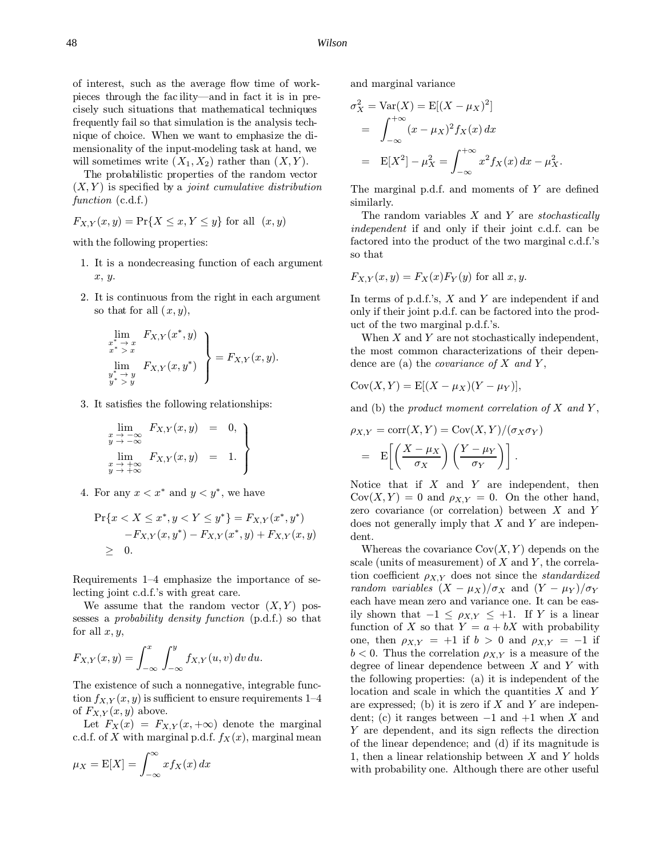of interest, such as the average flow time of workpieces through the fac ility—and in fact it is in precisely such situations that mathematical techniques frequently fail so that simulation is the analysis technique of choice. When we want to emphasize the dimensionality of the input-modeling task at hand, we will sometimes write  $(X_1, X_2)$  rather than  $(X, Y)$ .

The probabilistic properties of the random vector  $(X, Y)$  is specified by a *joint cumulative distribution* function (c.d.f.)

$$
F_{X,Y}(x,y) = \Pr\{X \le x, Y \le y\} \text{ for all } (x,y)
$$

with the following properties:

- 1. It is a nondecreasing function of each argument x, y.
- 2. It is continuous from the right in each argument so that for all  $(x, y)$ ,

$$
\lim_{\substack{x^* \to x \\ x^* > x}} F_{X,Y}(x^*, y)
$$
\n
$$
\lim_{\substack{y^* \to y \\ y^* > y}} F_{X,Y}(x, y^*)
$$
\n
$$
= F_{X,Y}(x, y).
$$

3. It satisfies the following relationships:

$$
\lim_{\substack{x \to -\infty \\ y \to -\infty}} F_{X,Y}(x, y) = 0, \n\lim_{\substack{x \to +\infty \\ y \to +\infty}} F_{X,Y}(x, y) = 1.
$$

4. For any  $x < x^*$  and  $y < y^*$ , we have

$$
\Pr\{x < X \le x^*, y < Y \le y^*\} = F_{X,Y}(x^*, y^*) \\
 -F_{X,Y}(x, y^*) - F_{X,Y}(x^*, y) + F_{X,Y}(x, y) \\
 \ge 0.
$$

Requirements 1–4 emphasize the importance of selecting joint c.d.f.'s with great care.

We assume that the random vector  $(X, Y)$  possesses a probability density function (p.d.f.) so that for all  $x, y$ ,

$$
F_{X,Y}(x,y) = \int_{-\infty}^x \int_{-\infty}^y f_{X,Y}(u,v) dv du.
$$

The existence of such a nonnegative, integrable function  $f_{X,Y}(x, y)$  is sufficient to ensure requirements 1–4 of  $F_{X,Y}(x, y)$  above.

Let  $F_X(x) = F_{X,Y}(x, +\infty)$  denote the marginal c.d.f. of X with marginal p.d.f.  $f_X(x)$ , marginal mean

$$
\mu_X = \mathbb{E}[X] = \int_{-\infty}^{\infty} x f_X(x) \, dx
$$

and marginal variance

$$
\sigma_X^2 = \text{Var}(X) = \mathbb{E}[(X - \mu_X)^2]
$$
  
=  $\int_{-\infty}^{+\infty} (x - \mu_X)^2 f_X(x) dx$   
=  $\mathbb{E}[X^2] - \mu_X^2 = \int_{-\infty}^{+\infty} x^2 f_X(x) dx - \mu_X^2$ .

The marginal p.d.f. and moments of  $Y$  are defined similarly.

The random variables  $X$  and  $Y$  are stochastically independent if and only if their joint c.d.f. can be factored into the product of the two marginal c.d.f.'s so that

$$
F_{X,Y}(x,y) = F_X(x)F_Y(y) \text{ for all } x, y.
$$

In terms of p.d.f.'s,  $X$  and  $Y$  are independent if and only if their joint p.d.f. can be factored into the product of the two marginal p.d.f.'s.

When  $X$  and  $Y$  are not stochastically independent, the most common characterizations of their dependence are (a) the *covariance* of  $X$  and  $Y$ ,

$$
Cov(X, Y) = E[(X - \mu_X)(Y - \mu_Y)],
$$

and (b) the *product moment correlation of*  $X$  and  $Y$ ,

$$
\rho_{X,Y} = \text{corr}(X,Y) = \text{Cov}(X,Y)/(\sigma_X \sigma_Y)
$$

$$
= \mathbb{E}\left[\left(\frac{X-\mu_X}{\sigma_X}\right)\left(\frac{Y-\mu_Y}{\sigma_Y}\right)\right].
$$

Notice that if  $X$  and  $Y$  are independent, then  $Cov(X, Y) = 0$  and  $\rho_{X,Y} = 0$ . On the other hand, zero covariance (or correlation) between X and Y does not generally imply that  $X$  and  $Y$  are independent.

Whereas the covariance  $Cov(X, Y)$  depends on the scale (units of measurement) of  $X$  and  $Y$ , the correlation coefficient  $\rho_{X,Y}$  does not since the *standardized* random variables  $(X - \mu_X)/\sigma_X$  and  $(Y - \mu_Y)/\sigma_Y$ each have mean zero and variance one. It can be easily shown that  $-1 \leq \rho_{X,Y} \leq +1$ . If Y is a linear function of X so that  $Y = a + bX$  with probability one, then  $\rho_{X,Y}$  = +1 if  $b > 0$  and  $\rho_{X,Y}$  = -1 if  $b < 0$ . Thus the correlation  $\rho_{X,Y}$  is a measure of the degree of linear dependence between  $X$  and  $Y$  with the following properties: (a) it is independent of the location and scale in which the quantities  $X$  and  $Y$ are expressed; (b) it is zero if  $X$  and  $Y$  are independent; (c) it ranges between  $-1$  and  $+1$  when X and Y are dependent, and its sign reflects the direction of the linear dependence; and (d) if its magnitude is 1, then a linear relationship between  $X$  and  $Y$  holds with probability one. Although there are other useful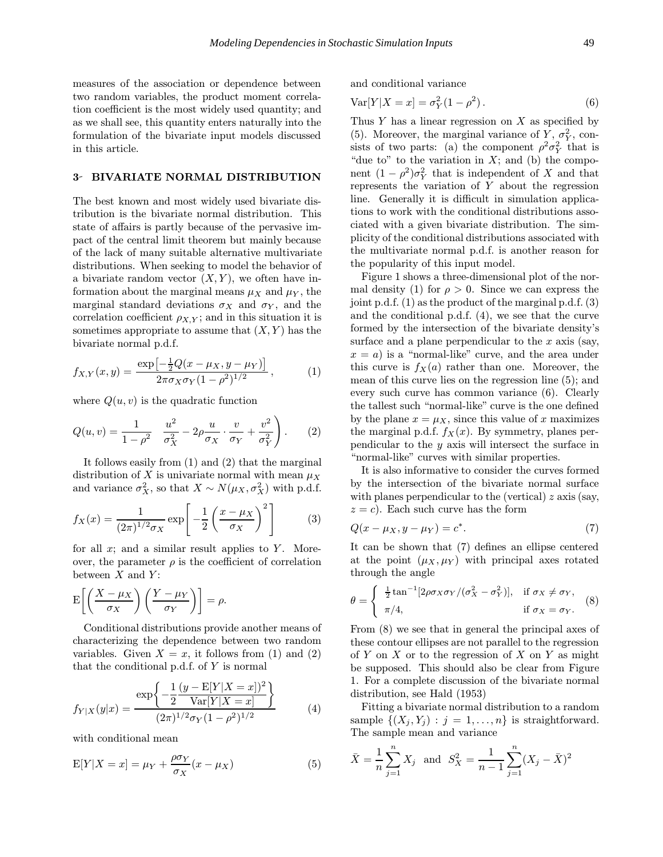measures of the association or dependence between two random variables, the product moment correlation coefficient is the most widely used quantity; and as we shall see, this quantity enters naturally into the formulation of the bivariate input models discussed in this article.

# 3- BIVARIATE NORMAL DISTRIBUTION

The best known and most widely used bivariate distribution is the bivariate normal distribution. This state of affairs is partly because of the pervasive impact of the central limit theorem but mainly because of the lack of many suitable alternative multivariate distributions. When seeking to model the behavior of a bivariate random vector  $(X, Y)$ , we often have information about the marginal means  $\mu_X$  and  $\mu_Y$ , the marginal standard deviations  $\sigma_X$  and  $\sigma_Y$ , and the correlation coefficient  $\rho_{X,Y}$ ; and in this situation it is sometimes appropriate to assume that  $(X, Y)$  has the bivariate normal p.d.f.

$$
f_{X,Y}(x,y) = \frac{\exp\left[-\frac{1}{2}Q(x - \mu_X, y - \mu_Y)\right]}{2\pi\sigma_X\sigma_Y(1 - \rho^2)^{1/2}},\tag{1}
$$

where  $Q(u, v)$  is the quadratic function

$$
Q(u,v) = \frac{1}{1-\rho^2} \frac{u^2}{\sigma_X^2} - 2\rho \frac{u}{\sigma_X} \cdot \frac{v}{\sigma_Y} + \frac{v^2}{\sigma_Y^2}.
$$
 (2)

It follows easily from (1) and (2) that the marginal distribution of X is univariate normal with mean  $\mu_X$ and variance  $\sigma_X^2$ , so that  $X \sim N(\mu_X, \sigma_X^2)$  with p.d.f.

$$
f_X(x) = \frac{1}{(2\pi)^{1/2} \sigma_X} \exp\left[-\frac{1}{2} \left(\frac{x - \mu_X}{\sigma_X}\right)^2\right] \tag{3}
$$

for all  $x$ ; and a similar result applies to  $Y$ . Moreover, the parameter  $\rho$  is the coefficient of correlation between  $X$  and  $Y$ :

$$
\mathbf{E}\left[\left(\frac{X-\mu_X}{\sigma_X}\right)\left(\frac{Y-\mu_Y}{\sigma_Y}\right)\right]=\rho.
$$

Conditional distributions provide another means of characterizing the dependence between two random variables. Given  $X = x$ , it follows from (1) and (2) that the conditional p.d.f. of Y is normal

$$
f_{Y|X}(y|x) = \frac{\exp\left\{-\frac{1}{2}\frac{(y - \mathbb{E}[Y|X=x])^2}{\text{Var}[Y|X=x]}\right\}}{(2\pi)^{1/2}\sigma_Y(1-\rho^2)^{1/2}}
$$
(4)

with conditional mean

$$
E[Y|X=x] = \mu_Y + \frac{\rho \sigma_Y}{\sigma_X}(x - \mu_X)
$$
\n(5)

and conditional variance

$$
Var[Y|X = x] = \sigma_Y^2(1 - \rho^2).
$$
 (6)

Thus  $Y$  has a linear regression on  $X$  as specified by (5). Moreover, the marginal variance of  $Y, \sigma_Y^2$ , consists of two parts: (a) the component  $\rho^2 \sigma_Y^2$  that is "due to" to the variation in  $X$ ; and (b) the component  $(1 - \rho^2)\sigma_Y^2$  that is independent of X and that represents the variation of  $Y$  about the regression line. Generally it is difficult in simulation applications to work with the conditional distributions associated with a given bivariate distribution. The simplicity of the conditional distributions associated with the multivariate normal p.d.f. is another reason for the popularity of this input model.

Figure 1 shows a three-dimensional plot of the normal density (1) for  $\rho > 0$ . Since we can express the joint p.d.f. (1) as the product of the marginal p.d.f. (3) and the conditional p.d.f. (4), we see that the curve formed by the intersection of the bivariate density's surface and a plane perpendicular to the  $x$  axis (say,  $x = a$ ) is a "normal-like" curve, and the area under this curve is  $f_X(a)$  rather than one. Moreover, the mean of this curve lies on the regression line (5); and every such curve has common variance (6). Clearly the tallest such "normal-like" curve is the one defined by the plane  $x = \mu_X$ , since this value of x maximizes the marginal p.d.f.  $f_X(x)$ . By symmetry, planes perpendicular to the  $y$  axis will intersect the surface in "normal-like" curves with similar properties.

It is also informative to consider the curves formed by the intersection of the bivariate normal surface with planes perpendicular to the (vertical)  $z$  axis (say,  $z = c$ ). Each such curve has the form

$$
Q(x - \mu_X, y - \mu_Y) = c^*.
$$
 (7)

It can be shown that (7) defines an ellipse centered at the point  $(\mu_X, \mu_Y)$  with principal axes rotated through the angle

$$
\theta = \begin{cases} \frac{1}{2} \tan^{-1} [2\rho \sigma_X \sigma_Y / (\sigma_X^2 - \sigma_Y^2)], & \text{if } \sigma_X \neq \sigma_Y, \\ \pi/4, & \text{if } \sigma_X = \sigma_Y. \end{cases} (8)
$$

From (8) we see that in general the principal axes of these contour ellipses are not parallel to the regression of  $Y$  on  $X$  or to the regression of  $X$  on  $Y$  as might be supposed. This should also be clear from Figure 1. For a complete discussion of the bivariate normal distribution, see Hald (1953)

Fitting a bivariate normal distribution to a random sample  $\{(X_j, Y_j) : j = 1, \ldots, n\}$  is straightforward. The sample mean and variance

$$
\bar{X} = \frac{1}{n} \sum_{j=1}^{n} X_j
$$
 and  $S_X^2 = \frac{1}{n-1} \sum_{j=1}^{n} (X_j - \bar{X})^2$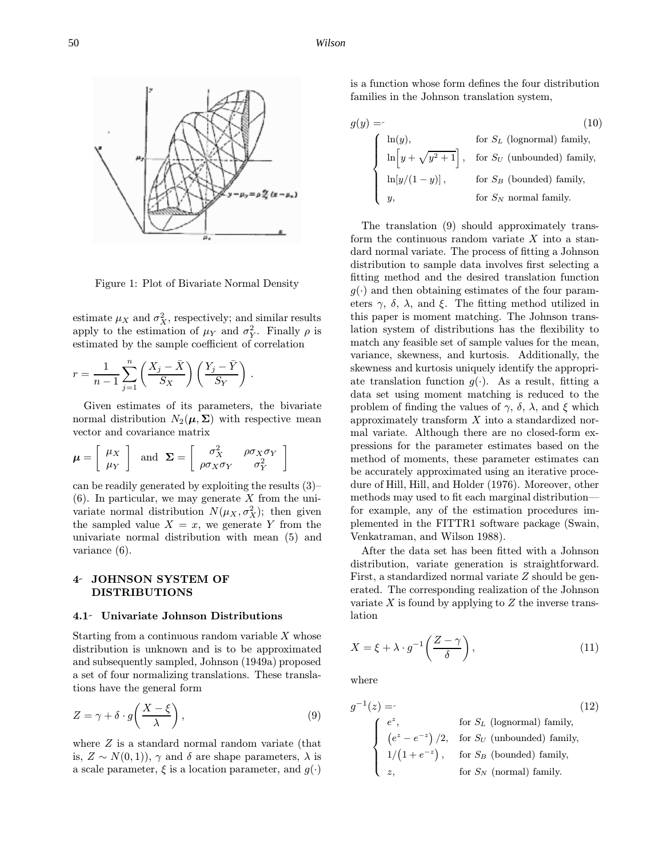

estimate  $\mu_X$  and  $\sigma_X^2$ , respectively; and similar results apply to the estimation of  $\mu_Y$  and  $\sigma_Y^2$ . Finally  $\rho$  is estimated by the sample coefficient of correlation

$$
r = \frac{1}{n-1} \sum_{j=1}^{n} \left( \frac{X_j - \bar{X}}{S_X} \right) \left( \frac{Y_j - \bar{Y}}{S_Y} \right)
$$

Given estimates of its parameters, the bivariate normal distribution  $N_2(\mu, \Sigma)$  with respective mean vector and covariance matrix

.

 $u_{\rm v} = a \frac{d\mathbf{y}}{dt}$  (x

$$
\boldsymbol{\mu} = \left[ \begin{array}{c} \mu_X \\ \mu_Y \end{array} \right] \text{ and } \boldsymbol{\Sigma} = \left[ \begin{array}{cc} \sigma_X^2 & \rho \sigma_X \sigma_Y \\ \rho \sigma_X \sigma_Y & \sigma_Y^2 \end{array} \right]
$$

can be readily generated by exploiting the results (3)–  $(6)$ . In particular, we may generate X from the univariate normal distribution  $N(\mu_X, \sigma_X^2)$ ; then given the sampled value  $X = x$ , we generate Y from the univariate normal distribution with mean (5) and variance (6).

## 4 JOHNSON SYSTEM OF DISTRIBUTIONS

#### 4.1 Univariate Johnson Distributions

Starting from a continuous random variable  $X$  whose distribution is unknown and is to be approximated and subsequently sampled, Johnson (1949a) proposed a set of four normalizing translations. These translations have the general form

$$
Z = \gamma + \delta \cdot g\left(\frac{X - \xi}{\lambda}\right),\tag{9}
$$

where  $Z$  is a standard normal random variate (that is,  $Z \sim N(0, 1)$ ,  $\gamma$  and  $\delta$  are shape parameters,  $\lambda$  is a scale parameter,  $\xi$  is a location parameter, and  $g(\cdot)$  is a function whose form defines the four distribution families in the Johnson translation system,

$$
g(y) = \begin{cases} \ln(y), & \text{for } S_L \text{ (lognormal) family,} \\ \ln\left[y + \sqrt{y^2 + 1}\right], & \text{for } S_U \text{ (unbounded) family,} \\ \ln[y/(1-y)], & \text{for } S_B \text{ (bounded) family,} \\ y, & \text{for } S_N \text{ normal family.} \end{cases}
$$

The translation (9) should approximately transform the continuous random variate  $X$  into a standard normal variate. The process of fitting a Johnson distribution to sample data involves first selecting a fitting method and the desired translation function  $g(\cdot)$  and then obtaining estimates of the four parameters  $\gamma$ ,  $\delta$ ,  $\lambda$ , and  $\xi$ . The fitting method utilized in this paper is moment matching. The Johnson translation system of distributions has the flexibility to match any feasible set of sample values for the mean, variance, skewness, and kurtosis. Additionally, the skewness and kurtosis uniquely identify the appropriate translation function  $g(\cdot)$ . As a result, fitting a data set using moment matching is reduced to the problem of finding the values of  $\gamma$ ,  $\delta$ ,  $\lambda$ , and  $\xi$  which approximately transform  $X$  into a standardized normal variate. Although there are no closed-form expressions for the parameter estimates based on the method of moments, these parameter estimates can be accurately approximated using an iterative procedure of Hill, Hill, and Holder (1976). Moreover, other methods may used to fit each marginal distribution for example, any of the estimation procedures implemented in the FITTR1 software package (Swain, Venkatraman, and Wilson 1988).

After the data set has been fitted with a Johnson distribution, variate generation is straightforward. First, a standardized normal variate Z should be generated. The corresponding realization of the Johnson variate  $X$  is found by applying to  $Z$  the inverse translation

$$
X = \xi + \lambda \cdot g^{-1} \left( \frac{Z - \gamma}{\delta} \right),\tag{11}
$$

where

$$
g^{-1}(z) = (12)
$$
\n
$$
\begin{cases}\ne^z, & \text{for } S_L \text{ (lognormal) family,} \\
(e^z - e^{-z})/2, & \text{for } S_U \text{ (unbounded) family,} \\
1/(1 + e^{-z}), & \text{for } S_B \text{ (bounded) family,} \\
z, & \text{for } S_N \text{ (normal) family.}\n\end{cases}
$$
\n(12)

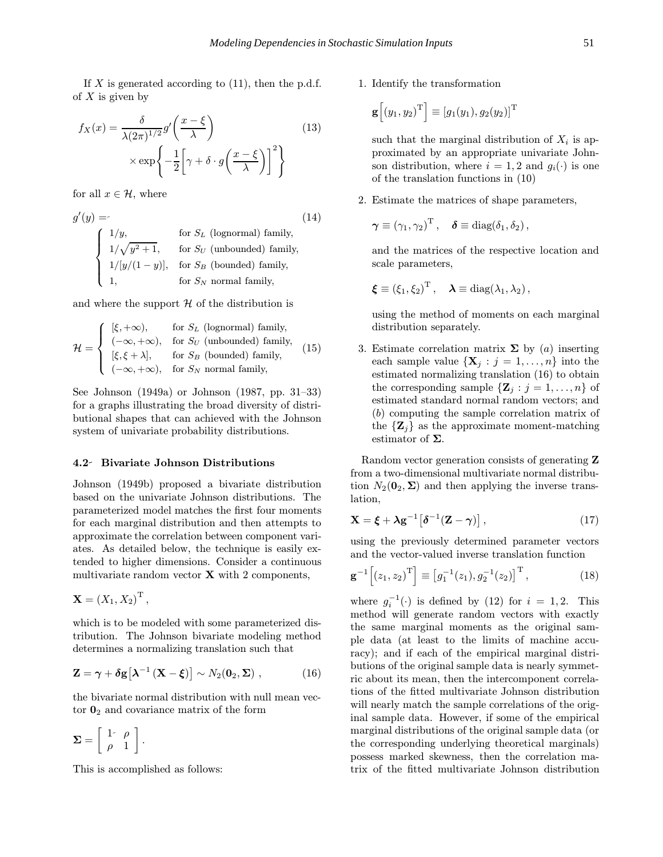If  $X$  is generated according to  $(11)$ , then the p.d.f. of  $X$  is given by

$$
f_X(x) = \frac{\delta}{\lambda (2\pi)^{1/2}} g' \left(\frac{x-\xi}{\lambda}\right)
$$
  
 
$$
\times \exp\left\{-\frac{1}{2}\left[\gamma + \delta \cdot g\left(\frac{x-\xi}{\lambda}\right)\right]^2\right\}
$$
 (13)

for all  $x \in \mathcal{H}$ , where

$$
g'(y) = (14)
$$
\n
$$
\begin{cases}\n1/y, & \text{for } S_L \text{ (lognormal) family,} \\
1/\sqrt{y^2 + 1}, & \text{for } S_U \text{ (unbounded) family,} \\
1/[y/(1-y)], & \text{for } S_B \text{ (bounded) family,} \\
1, & \text{for } S_N \text{ normal family,}\n\end{cases}
$$
\n(14)

and where the support  $H$  of the distribution is

$$
\mathcal{H} = \begin{cases}\n[\xi, +\infty), & \text{for } S_L \text{ (lognormal) family,} \\
(-\infty, +\infty), & \text{for } S_U \text{ (unbounded) family,} \\
[\xi, \xi + \lambda], & \text{for } S_B \text{ (bounded) family,} \\
(-\infty, +\infty), & \text{for } S_N \text{ normal family,}\n\end{cases}
$$
\n(15)

See Johnson (1949a) or Johnson (1987, pp. 31–33) for a graphs illustrating the broad diversity of distributional shapes that can achieved with the Johnson system of univariate probability distributions.

## 4.2 Bivariate Johnson Distributions

Johnson (1949b) proposed a bivariate distribution based on the univariate Johnson distributions. The parameterized model matches the first four moments for each marginal distribution and then attempts to approximate the correlation between component variates. As detailed below, the technique is easily extended to higher dimensions. Consider a continuous multivariate random vector  $X$  with 2 components,

$$
\mathbf{X} = \left(X_1, X_2\right)^{\mathrm{T}},
$$

which is to be modeled with some parameterized distribution. The Johnson bivariate modeling method determines a normalizing translation such that

$$
\mathbf{Z} = \boldsymbol{\gamma} + \boldsymbol{\delta} \mathbf{g} \left[ \boldsymbol{\lambda}^{-1} \left( \mathbf{X} - \boldsymbol{\xi} \right) \right] \sim N_2(\mathbf{0}_2, \boldsymbol{\Sigma}) \;, \tag{16}
$$

the bivariate normal distribution with null mean vector  $\mathbf{0}_2$  and covariance matrix of the form

 $\Sigma = \begin{bmatrix} 1 & \rho \\ \frac{\rho}{\rho} & 1 \end{bmatrix}$  $\rho$  1 .

This is accomplished as follows:

1. Identify the transformation

$$
\mathbf{g}\left[\left(y_1,y_2\right)^{\mathrm{T}}\right]\equiv\left[g_1(y_1),g_2(y_2)\right]^{\mathrm{T}}
$$

such that the marginal distribution of  $X_i$  is approximated by an appropriate univariate Johnson distribution, where  $i = 1, 2$  and  $g_i(\cdot)$  is one of the translation functions in (10)

2. Estimate the matrices of shape parameters,

$$
\boldsymbol{\gamma} \equiv \left(\gamma_1, \gamma_2\right)^{\rm T}, \quad \boldsymbol{\delta} \equiv {\rm diag}(\delta_1, \delta_2)\,,
$$

and the matrices of the respective location and scale parameters,

$$
\boldsymbol{\xi}\equiv\left(\xi_1,\xi_2\right)^{\rm T},\quad \boldsymbol{\lambda}\equiv{\rm diag}(\lambda_1,\lambda_2)\,,
$$

using the method of moments on each marginal distribution separately.

3. Estimate correlation matrix  $\Sigma$  by (a) inserting each sample value  $\{X_j : j = 1, \ldots, n\}$  into the estimated normalizing translation (16) to obtain the corresponding sample  $\{Z_j : j = 1, \ldots, n\}$  of estimated standard normal random vectors; and (b) computing the sample correlation matrix of the  $\{Z_i\}$  as the approximate moment-matching estimator of  $\Sigma$ .

Random vector generation consists of generating Z from a two-dimensional multivariate normal distribution  $N_2(\mathbf{0}_2, \Sigma)$  and then applying the inverse translation,

$$
\mathbf{X} = \boldsymbol{\xi} + \lambda \mathbf{g}^{-1} \left[ \boldsymbol{\delta}^{-1} (\mathbf{Z} - \boldsymbol{\gamma}) \right], \tag{17}
$$

using the previously determined parameter vectors and the vector-valued inverse translation function

$$
\mathbf{g}^{-1}\left[\left(z_1, z_2\right)^{\mathrm{T}}\right] \equiv \left[g_1^{-1}(z_1), g_2^{-1}(z_2)\right]^{\mathrm{T}},\tag{18}
$$

where  $g_i^{-1}(\cdot)$  is defined by (12) for  $i = 1, 2$ . This method will generate random vectors with exactly the same marginal moments as the original sample data (at least to the limits of machine accuracy); and if each of the empirical marginal distributions of the original sample data is nearly symmetric about its mean, then the intercomponent correlations of the fitted multivariate Johnson distribution will nearly match the sample correlations of the original sample data. However, if some of the empirical marginal distributions of the original sample data (or the corresponding underlying theoretical marginals) possess marked skewness, then the correlation matrix of the fitted multivariate Johnson distribution